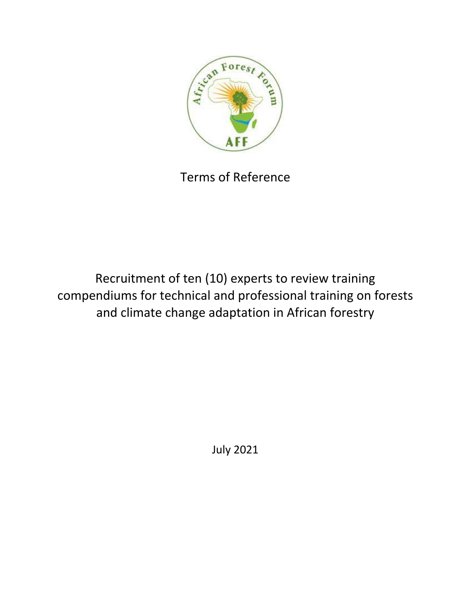

Terms of Reference

Recruitment of ten (10) experts to review training compendiums for technical and professional training on forests and climate change adaptation in African forestry

July 2021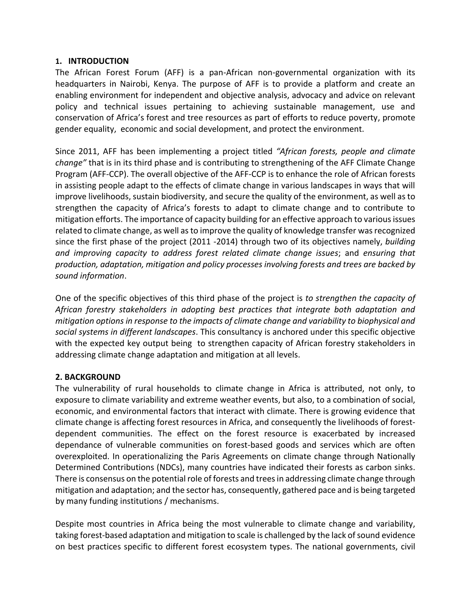#### **1. INTRODUCTION**

The African Forest Forum (AFF) is a pan-African non-governmental organization with its headquarters in Nairobi, Kenya. The purpose of AFF is to provide a platform and create an enabling environment for independent and objective analysis, advocacy and advice on relevant policy and technical issues pertaining to achieving sustainable management, use and conservation of Africa's forest and tree resources as part of efforts to reduce poverty, promote gender equality, economic and social development, and protect the environment.

Since 2011, AFF has been implementing a project titled *"African forests, people and climate change"* that is in its third phase and is contributing to strengthening of the AFF Climate Change Program (AFF-CCP). The overall objective of the AFF-CCP is to enhance the role of African forests in assisting people adapt to the effects of climate change in various landscapes in ways that will improve livelihoods, sustain biodiversity, and secure the quality of the environment, as well as to strengthen the capacity of Africa's forests to adapt to climate change and to contribute to mitigation efforts. The importance of capacity building for an effective approach to various issues related to climate change, as well as to improve the quality of knowledge transfer was recognized since the first phase of the project (2011 -2014) through two of its objectives namely, *building and improving capacity to address forest related climate change issues*; and *ensuring that production, adaptation, mitigation and policy processes involving forests and trees are backed by sound information*.

One of the specific objectives of this third phase of the project is *to strengthen the capacity of African forestry stakeholders in adopting best practices that integrate both adaptation and mitigation options in response to the impacts of climate change and variability to biophysical and social systems in different landscapes*. This consultancy is anchored under this specific objective with the expected key output being to strengthen capacity of African forestry stakeholders in addressing climate change adaptation and mitigation at all levels.

## **2. BACKGROUND**

The vulnerability of rural households to climate change in Africa is attributed, not only, to exposure to climate variability and extreme weather events, but also, to a combination of social, economic, and environmental factors that interact with climate. There is growing evidence that climate change is affecting forest resources in Africa, and consequently the livelihoods of forestdependent communities. The effect on the forest resource is exacerbated by increased dependance of vulnerable communities on forest-based goods and services which are often overexploited. In operationalizing the Paris Agreements on climate change through Nationally Determined Contributions (NDCs), many countries have indicated their forests as carbon sinks. There is consensus on the potential role of forests and trees in addressing climate change through mitigation and adaptation; and the sector has, consequently, gathered pace and is being targeted by many funding institutions / mechanisms.

Despite most countries in Africa being the most vulnerable to climate change and variability, taking forest-based adaptation and mitigation to scale is challenged by the lack of sound evidence on best practices specific to different forest ecosystem types. The national governments, civil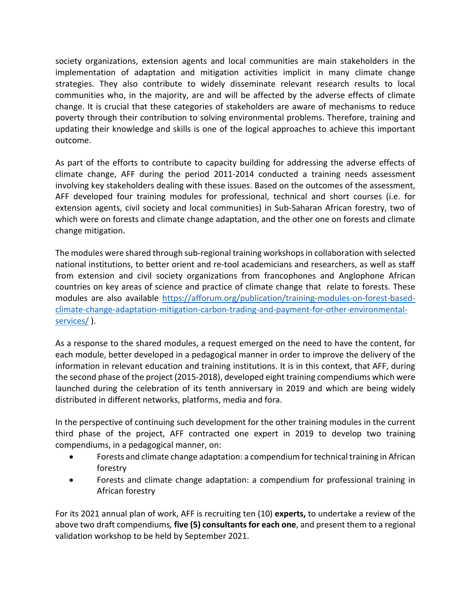society organizations, extension agents and local communities are main stakeholders in the implementation of adaptation and mitigation activities implicit in many climate change strategies. They also contribute to widely disseminate relevant research results to local communities who, in the majority, are and will be affected by the adverse effects of climate change. It is crucial that these categories of stakeholders are aware of mechanisms to reduce poverty through their contribution to solving environmental problems. Therefore, training and updating their knowledge and skills is one of the logical approaches to achieve this important outcome.

As part of the efforts to contribute to capacity building for addressing the adverse effects of climate change, AFF during the period 2011-2014 conducted a training needs assessment involving key stakeholders dealing with these issues. Based on the outcomes of the assessment, AFF developed four training modules for professional, technical and short courses (i.e. for extension agents, civil society and local communities) in Sub-Saharan African forestry, two of which were on forests and climate change adaptation, and the other one on forests and climate change mitigation.

The modules were shared through sub-regional training workshopsin collaboration with selected national institutions, to better orient and re-tool academicians and researchers, as well as staff from extension and civil society organizations from francophones and Anglophone African countries on key areas of science and practice of climate change that relate to forests. These modules are also available [https://afforum.org/publication/training-modules-on-forest-based](https://afforum.org/publication/training-modules-on-forest-based-climate-change-adaptation-mitigation-carbon-trading-and-payment-for-other-environmental-services/)[climate-change-adaptation-mitigation-carbon-trading-and-payment-for-other-environmental](https://afforum.org/publication/training-modules-on-forest-based-climate-change-adaptation-mitigation-carbon-trading-and-payment-for-other-environmental-services/)[services/](https://afforum.org/publication/training-modules-on-forest-based-climate-change-adaptation-mitigation-carbon-trading-and-payment-for-other-environmental-services/) ).

As a response to the shared modules, a request emerged on the need to have the content, for each module, better developed in a pedagogical manner in order to improve the delivery of the information in relevant education and training institutions. It is in this context, that AFF, during the second phase of the project (2015-2018), developed eight training compendiums which were launched during the celebration of its tenth anniversary in 2019 and which are being widely distributed in different networks, platforms, media and fora.

In the perspective of continuing such development for the other training modules in the current third phase of the project, AFF contracted one expert in 2019 to develop two training compendiums, in a pedagogical manner, on:

- Forests and climate change adaptation: a compendium for technical training in African forestry
- Forests and climate change adaptation: a compendium for professional training in African forestry

For its 2021 annual plan of work, AFF is recruiting ten (10) **experts,** to undertake a review of the above two draft compendiums*,* **five (5) consultants for each one**, and present them to a regional validation workshop to be held by September 2021.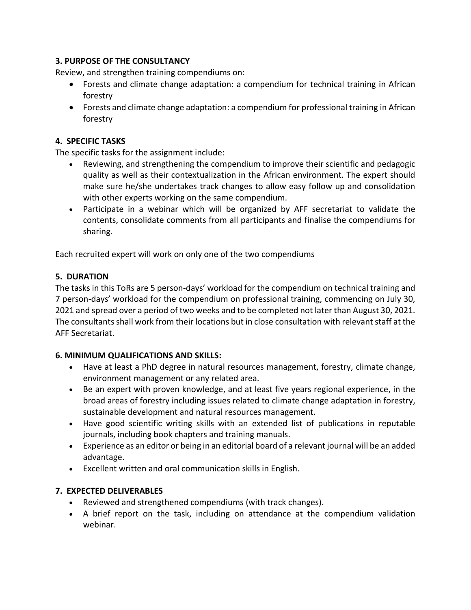## **3. PURPOSE OF THE CONSULTANCY**

Review, and strengthen training compendiums on:

- Forests and climate change adaptation: a compendium for technical training in African forestry
- Forests and climate change adaptation: a compendium for professional training in African forestry

## **4. SPECIFIC TASKS**

The specific tasks for the assignment include:

- Reviewing, and strengthening the compendium to improve their scientific and pedagogic quality as well as their contextualization in the African environment. The expert should make sure he/she undertakes track changes to allow easy follow up and consolidation with other experts working on the same compendium.
- Participate in a webinar which will be organized by AFF secretariat to validate the contents, consolidate comments from all participants and finalise the compendiums for sharing.

Each recruited expert will work on only one of the two compendiums

# **5. DURATION**

The tasks in this ToRs are 5 person-days' workload for the compendium on technical training and 7 person-days' workload for the compendium on professional training, commencing on July 30, 2021 and spread over a period of two weeks and to be completed not later than August 30, 2021. The consultantsshall work from their locations but in close consultation with relevant staff at the AFF Secretariat.

## **6. MINIMUM QUALIFICATIONS AND SKILLS:**

- Have at least a PhD degree in natural resources management, forestry, climate change, environment management or any related area.
- Be an expert with proven knowledge, and at least five years regional experience, in the broad areas of forestry including issues related to climate change adaptation in forestry, sustainable development and natural resources management.
- Have good scientific writing skills with an extended list of publications in reputable journals, including book chapters and training manuals.
- Experience as an editor or being in an editorial board of a relevant journal will be an added advantage.
- Excellent written and oral communication skills in English.

## **7. EXPECTED DELIVERABLES**

- Reviewed and strengthened compendiums (with track changes).
- A brief report on the task, including on attendance at the compendium validation webinar.